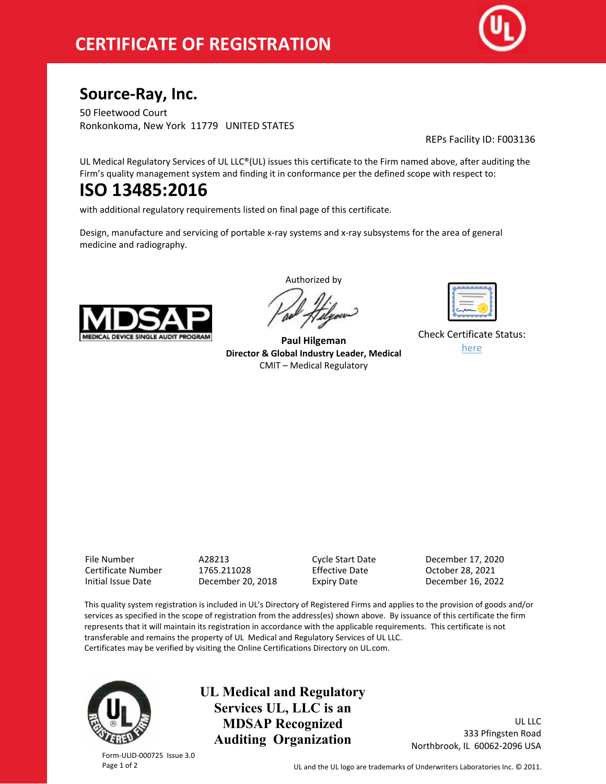

### **Source-Ray, Inc.**

50 Fleetwood Court Ronkonkoma, New York 11779 UNITED STATES

REPs Facility ID: F003136

UL Medical Regulatory Services of UL LLC®(UL) issues this certificate to the Firm named above, after auditing the Firm's quality management system and finding it in conformance per the defined scope with respect to:

## **ISO 13485:2016**

with additional regulatory requirements listed on final page of this certificate.

Design, manufacture and servicing of portable x-ray systems and x-ray subsystems for the area of general medicine and radiography.



Authorized by

**Paul Hilgeman Director & Global Industry Leader, Medical** CMIT – Medical Regulatory

| ے |
|---|
|   |

Check Certificate Status: [here](https://database.ul.com/certs/AZBA.A28213.pdf)

Certificate Number

File Number A28213 Cycle Start Date December 17, 2020 Initial Issue Date December 20, 2018 Expiry Date December 16, 2022

This quality system registration is included in UL's Directory of Registered Firms and applies to the provision of goods and/or services as specified in the scope of registration from the address(es) shown above. By issuance of this certificate the firm represents that it will maintain its registration in accordance with the applicable requirements. This certificate is not transferable and remains the property of UL Medical and Regulatory Services of UL LLC. Certificates may be verified by visiting the Online Certifications Directory on UL.com.



Form-ULID-000725 Issue 3.0

**UL Medical and Regulatory Services UL, LLC is an MDSAP Recognized Auditing Organization**

UL LLC 333 Pfingsten Road Northbrook, IL 60062-2096 USA